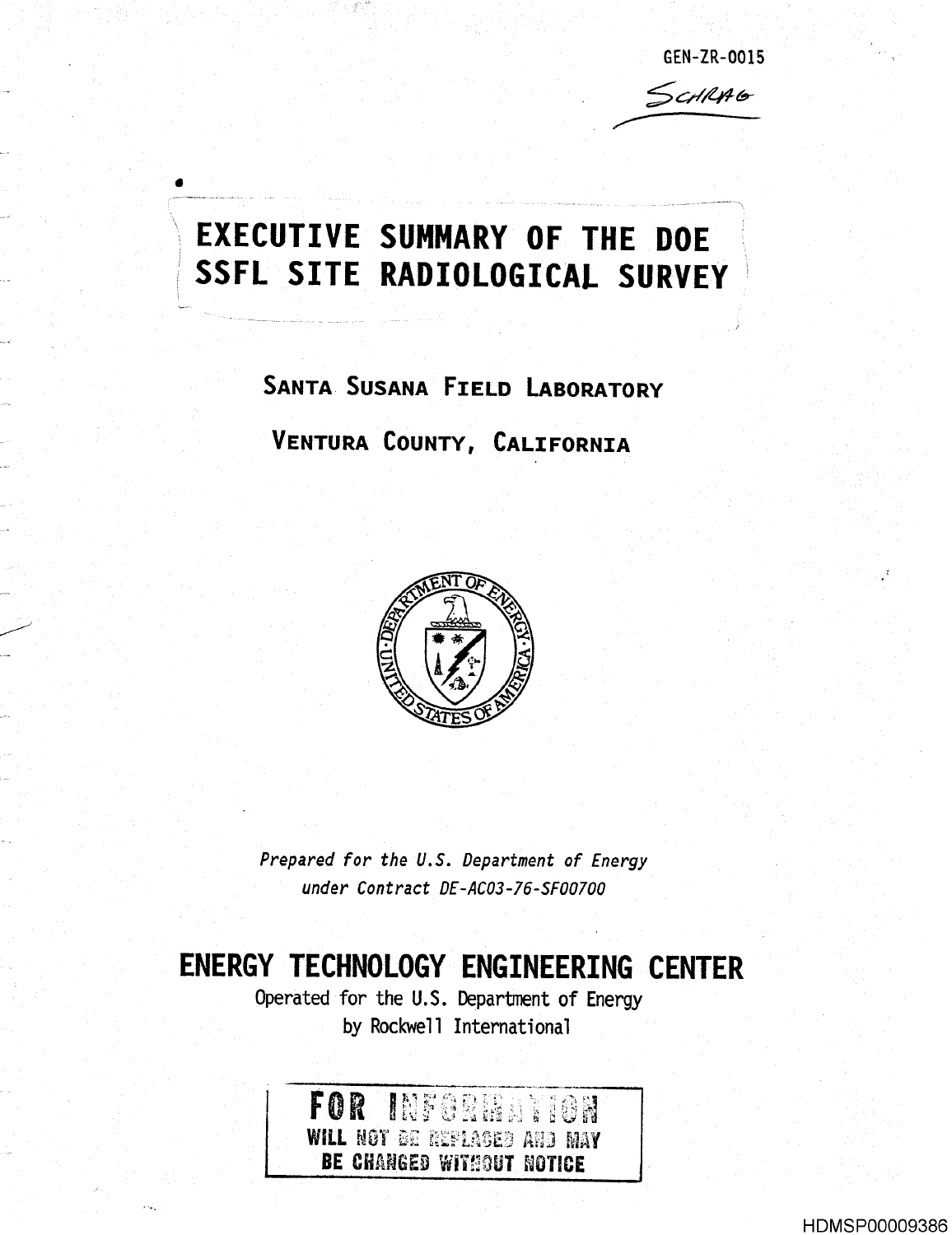GEN-ZR-0015 SCHRAG

# EXECUTIVE **SUMMARY OF THE DOE** SSFL SITE **RADIOLOGICAL** SURVEY

**SANTA**\_ **SUSANA FIELD LABORATORY VENTURA COUNTY, CALIFORNIA** 



Prepared for the U.S. **Department** of Energy **under Contract** DE-AC03-76-SF00700

## ENERGY TECHNOLOGY E **NGINEERING CENTER**

Operated for the U.S. Department of Energy by Rockwell International

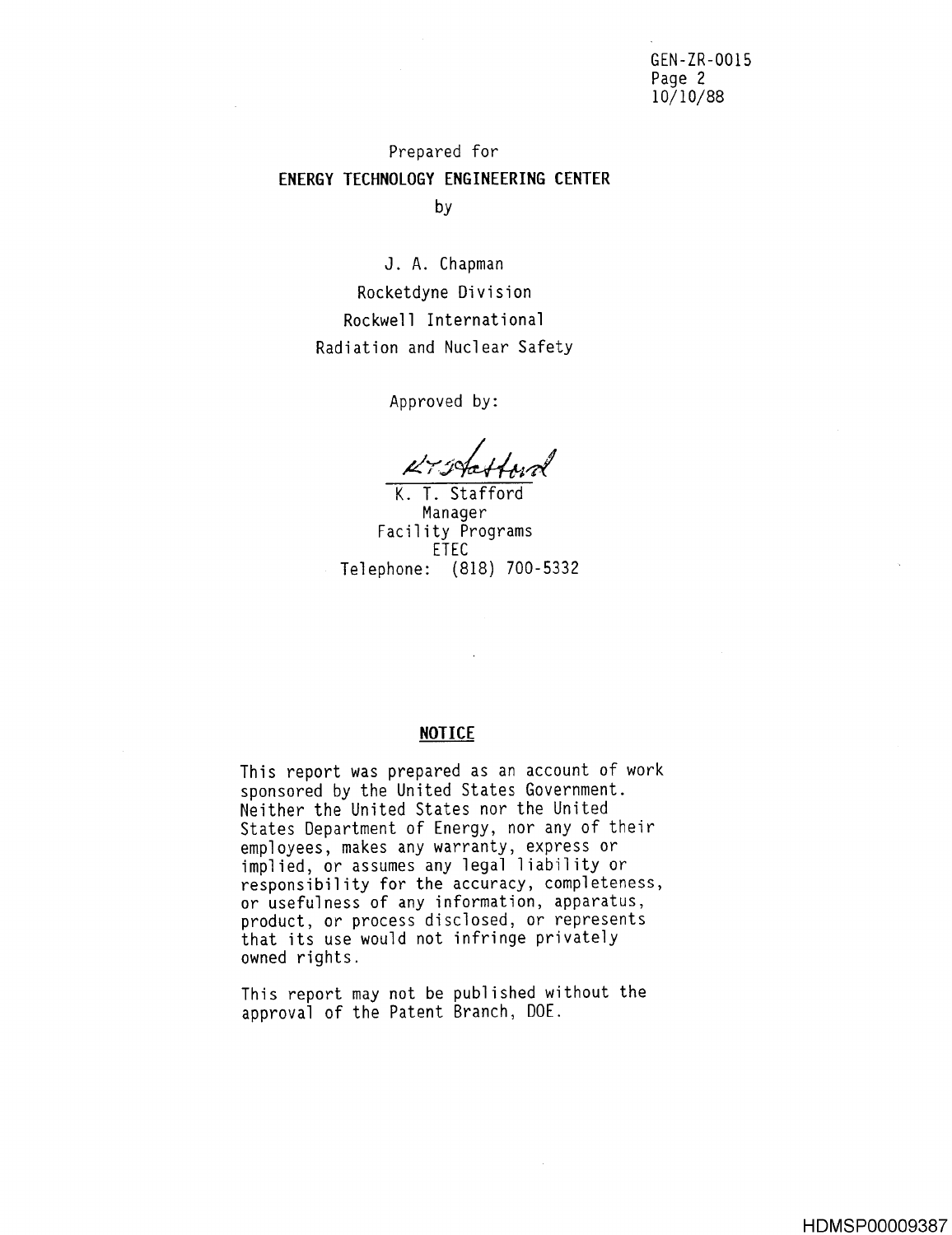GEN-ZR-0015 Page 2 10/10/88

### Prepared for **ENERGY TECHNOLOGY ENGINEERING CENTER** by

J. A. Chapman Rocketdyne Division Rockwell International Radiation and Nuclear Safety

Approved by :

K. T. Stafford **Manager Facility Programs** ETEC **Telephone : (818) 700-533 <sup>2</sup>**

#### **NOTICE**

This report was prepared as an account of work sponsored by the United States Government. Neither the United States nor the United States Department of Energy, nor any of their employees, makes any warranty, express or implied, or assumes any legal liability or responsibility for the accuracy, completeness, or usefulness of any information, apparatus, product, or process disclosed, or represents that its use would not infringe privately owned rights .

This report may not be published without the approval of the Patent Branch, DOE .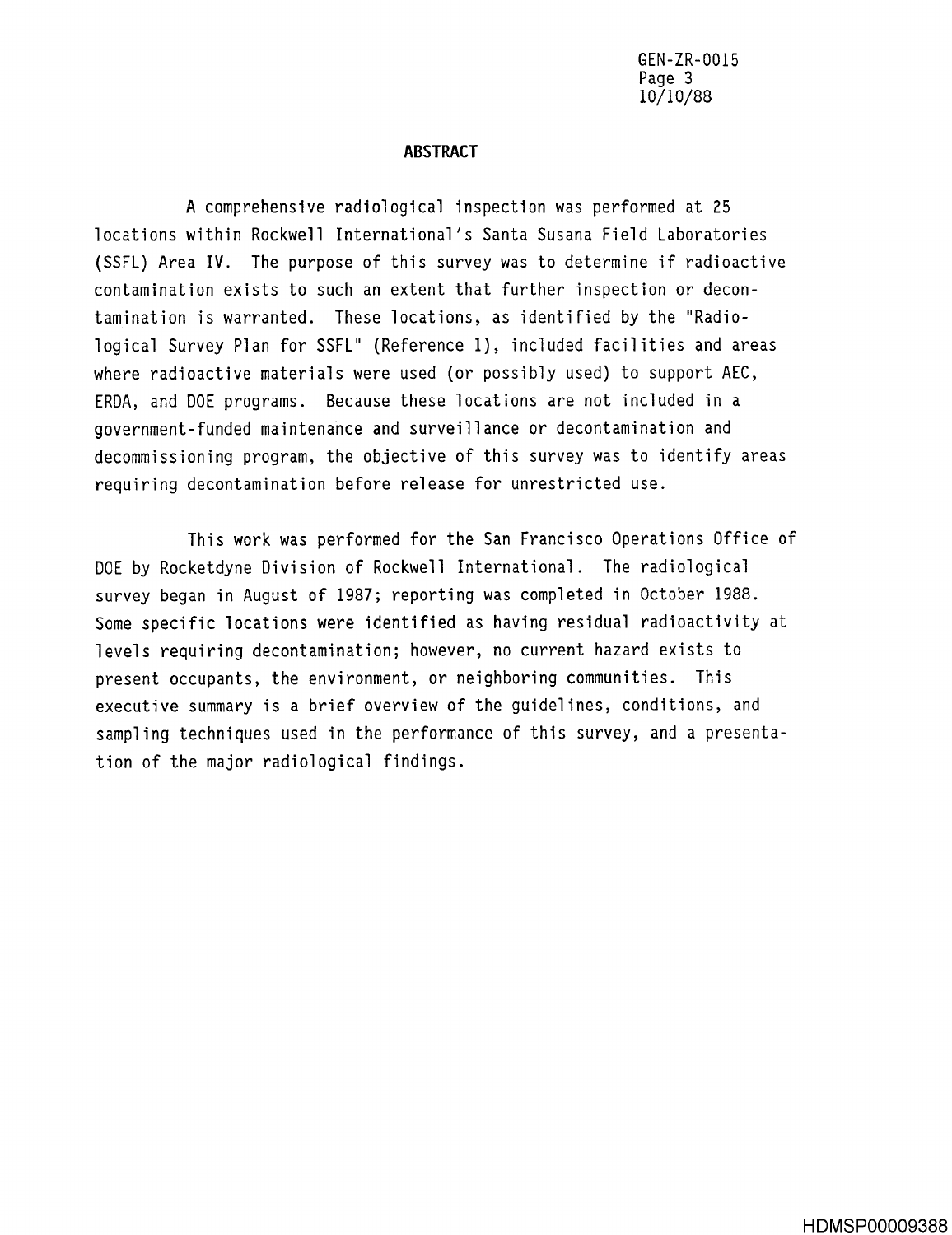GEN-ZR-0015 **Page 3** 10/10/88

#### **ABSTRACT**

A comprehensive radiological inspection was performed at 25 locations within Rockwell International's Santa Susana Field Laboratories (SSFL) Area IV. The purpose of this survey was to determine if radioactive contamination exists to such an extent that further inspection or decontamination is warranted. These locations, as identified by the "Radiological Survey Plan for SSFL" (Reference 1), included facilities and areas where radioactive materials were used (or possibly used) to support AEC, ERDA, and DOE programs. Because these locations are not included in a **government** - **funded maintenance and surveillance or decontamination and** decommissioning program, the objective of this survey was to identify areas requiring decontamination before release for unrestricted use .

This work was performed for the San Francisco Operations Office of DOE by Rocketdyne Division of Rockwell International. The radiological survey began in August of 1987; reporting was completed in October 1988. Some specific locations were identified as having residual radioactivity at levels requiring decontamination; however, no current hazard exists to present occupants, the environment, or neighboring communities. This executive summary is a brief overview of the guidelines, conditions, and sampling techniques used in the performance of this survey, and a presentation of the major radiological findings .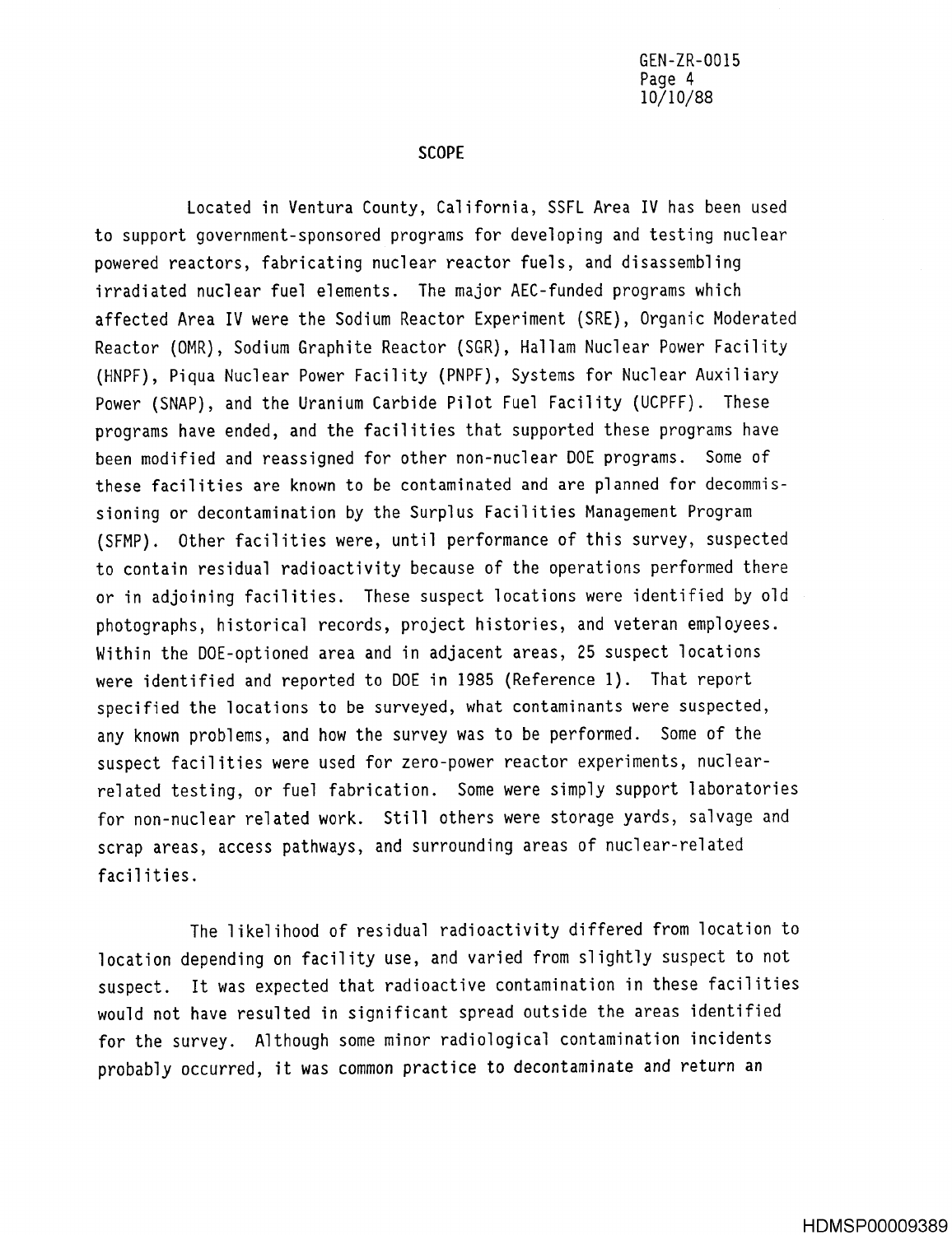SCOPE

Located in Ventura County, California, SSFL Area IV has been used to support government-sponsored programs for developing and testing nuclear powered reactors, fabricating nuclear reactor fuels, and disassembling irradiated nuclear fuel elements. The major AEC-funded programs which affected Area IV were the Sodium Reactor Experiment (SRE), Organic Moderated Reactor (OMR), Sodium Graphite Reactor (SGR), Hallam Nuclear Power Facility (HNPF), Piqua Nuclear Power Facility (PNPF), Systems for Nuclear Auxiliary Power (SNAP), and the Uranium Carbide Pilot Fuel Facility (UCPFF) . These programs have ended, and the facilities that supported these programs have been modified and reassigned for other non-nuclear DOE programs . Some of these facilities are known to be contaminated and are planned for decommissioning or decontamination by the Surplus Facilities Management Program (SFMP) . Other facilities were, until performance of this survey, suspected to contain residual radioactivity because of the operations performed there or in adjoining facilities. These suspect locations were identified by old photographs, historical records, project histories, and veteran employees . Within the DOE-optioned area and in adjacent areas, 25 suspect locations were identified and reported to DOE in 1985 (Reference 1). That report specified the locations to be surveyed, what contaminants were suspected, any known problems, and how the survey was to be performed. Some of the suspect facilities were used for zero-power reactor experiments, nuclearrelated testing, or fuel fabrication. Some were simply support laboratories for non-nuclear related work. Still others were storage yards, salvage and scrap areas, access pathways, and surrounding areas of nuclear-related facilities .

The likelihood of residual radioactivity differed from location to location depending on facility use, and varied from slightly suspect to not suspect. It was expected that radioactive contamination in these facilities would not have resulted in significant spread outside the areas identified for the survey. Although some minor radiological contamination incidents probably occurred, it was common practice to decontaminate and return an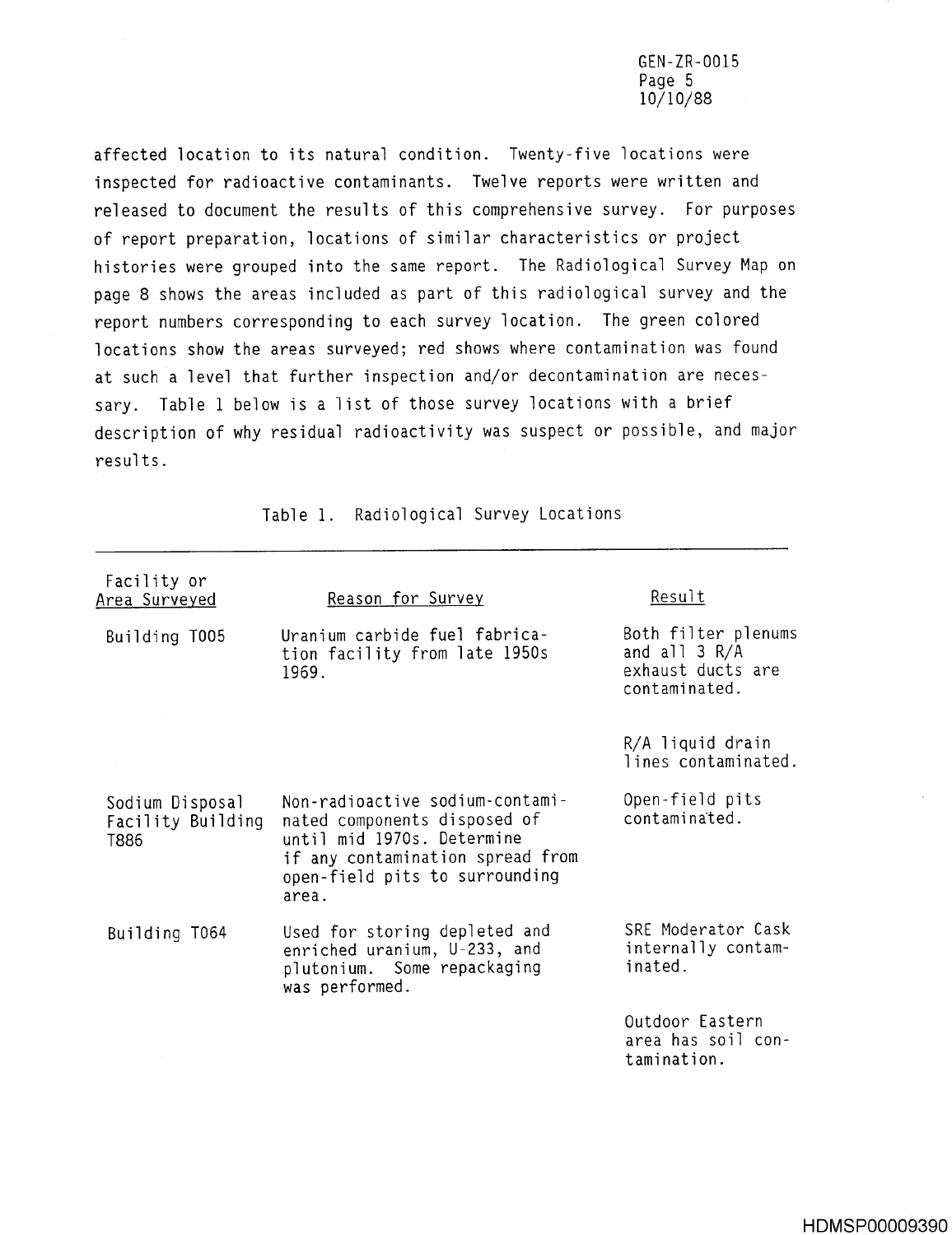GEN-ZR-0015 Page 5 10/10/88

affected location to its natural condition. Twenty-five locations were inspected for radioactive contaminants. Twelve reports were written and released to document the results of this comprehensive survey. For purposes of report preparation, locations of similar characteristics or project histories were grouped into the same report. The Radiological Survey Map on page 8 shows the areas included as part of this radiological survey and the report numbers corresponding to each survey location. The green colored locations show the areas surveyed; red shows where contamination was found at such a level that further inspection and/or decontamination are necessary. Table 1 below is a list of those survey locations with a brief description of why residual radioactivity was suspect or possible, and major results .

| Facility or<br>Area Surveyed                 | Reason for Survey                                                                                                                                                            | Result                                                                       |  |
|----------------------------------------------|------------------------------------------------------------------------------------------------------------------------------------------------------------------------------|------------------------------------------------------------------------------|--|
| Building T005                                | Uranium carbide fuel fabrica-<br>tion facility from late 1950s<br>1969.                                                                                                      | Both filter plenums<br>and all $3 R/A$<br>exhaust ducts are<br>contaminated. |  |
|                                              |                                                                                                                                                                              | R/A liquid drain<br>lines contaminated.                                      |  |
| Sodium Disposal<br>Facility Building<br>T886 | Non-radioactive sodium-contami-<br>nated components disposed of<br>until mid 1970s. Determine<br>if any contamination spread from<br>open-field pits to surrounding<br>area. | Open-field pits<br>contaminated.                                             |  |
| Building T064                                | Used for storing depleted and<br>enriched uranium, U-233, and<br>plutonium. Some repackaging<br>was performed.                                                               | SRE Moderator Cask<br>internally contam-<br>inated.                          |  |
|                                              |                                                                                                                                                                              | Outdoor Eastern<br>area has soil con-<br>tamination.                         |  |

Table 1. Radiological Survey Locations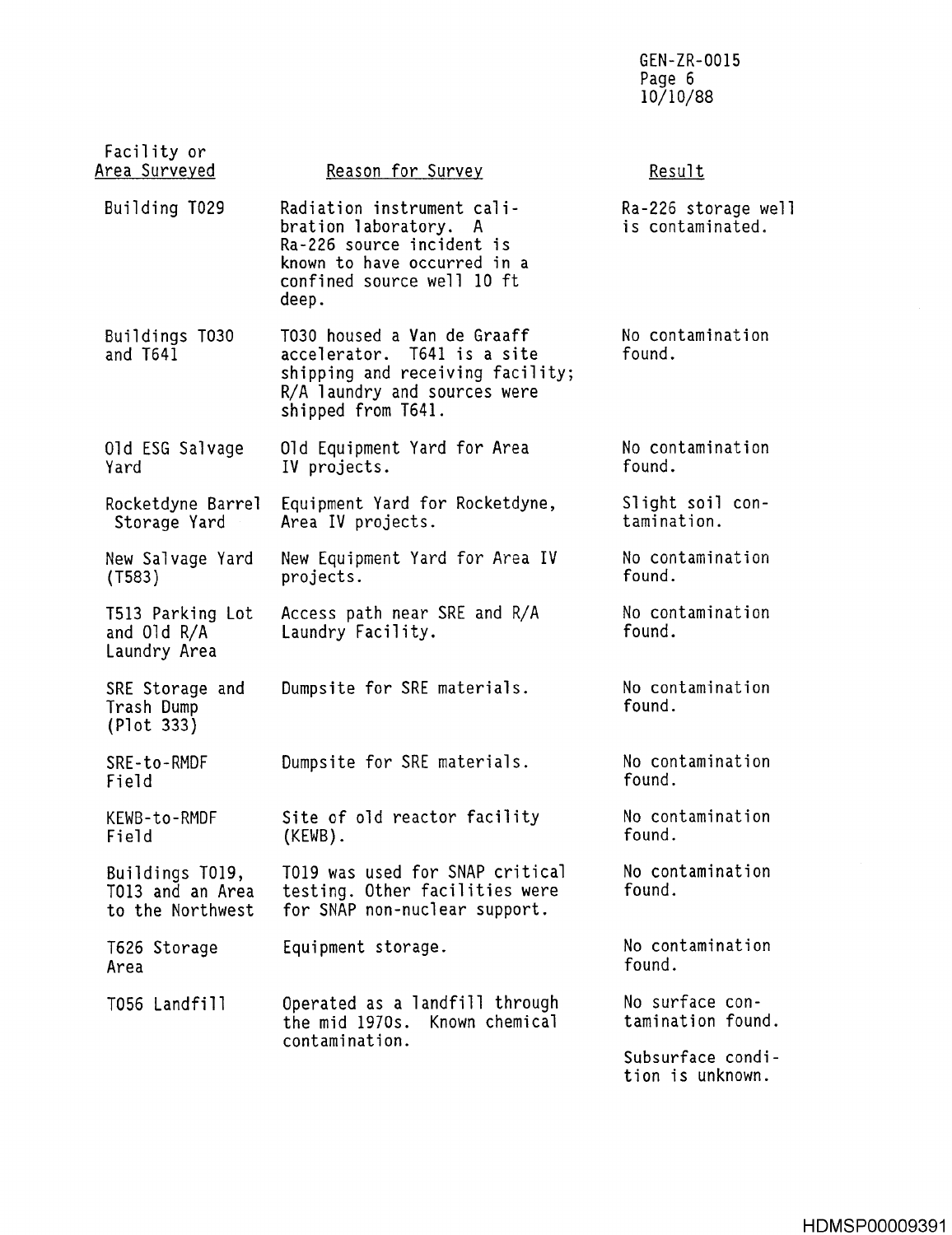GEN-ZR-0015 Page 6 10/10/88

| Facility or<br><u> Area Surveyed</u>                    | Reason for Survey                                                                                                                                      | Result                                |  |  |
|---------------------------------------------------------|--------------------------------------------------------------------------------------------------------------------------------------------------------|---------------------------------------|--|--|
| Building T029                                           | Radiation instrument cali-<br>bration laboratory. A<br>Ra-226 source incident is<br>known to have occurred in a<br>confined source well 10 ft<br>deep. |                                       |  |  |
| Buildings T030<br>and T641                              | T030 housed a Van de Graaff<br>accelerator. T641 is a site<br>shipping and receiving facility;<br>R/A laundry and sources were<br>shipped from T641.   | No contamination<br>found.            |  |  |
| Old ESG Salvage<br>Yard                                 | Old Equipment Yard for Area<br>IV projects.                                                                                                            | No contamination<br>found.            |  |  |
| Rocketdyne Barrel<br>Storage Yard                       | Equipment Yard for Rocketdyne,<br>Area IV projects.                                                                                                    | Slight soil con-<br>tamination.       |  |  |
| New Salvage Yard<br>(T583)                              | New Equipment Yard for Area IV<br>projects.                                                                                                            | No contamination<br>found.            |  |  |
| T513 Parking Lot<br>and $01d R/A$<br>Laundry Area       | Access path near SRE and R/A<br>Laundry Facility.                                                                                                      | No contamination<br>found.            |  |  |
| SRE Storage and<br>Trash Dump<br>(Plot 333)             | Dumpsite for SRE materials.                                                                                                                            | No contamination<br>found.            |  |  |
| SRE-to-RMDF<br>Field                                    | Dumpsite for SRE materials.                                                                                                                            | No contamination<br>found.            |  |  |
| KEWB-to-RMDF<br>Field                                   | Site of old reactor facility<br>(KEWB).                                                                                                                | No contamination<br>found.            |  |  |
| Buildings T019,<br>T013 and an Area<br>to the Northwest | T019 was used for SNAP critical<br>testing. Other facilities were<br>for SNAP non-nuclear support.                                                     | No contamination<br>found.            |  |  |
| T626 Storage<br>Area                                    | Equipment storage.                                                                                                                                     | No contamination<br>found.            |  |  |
| T056 Landfill                                           | Operated as a landfill through<br>Known chemical<br>the mid 1970s.<br>contamination.                                                                   | No surface con-<br>tamination found.  |  |  |
|                                                         |                                                                                                                                                        | Subsurface condi-<br>tion is unknown. |  |  |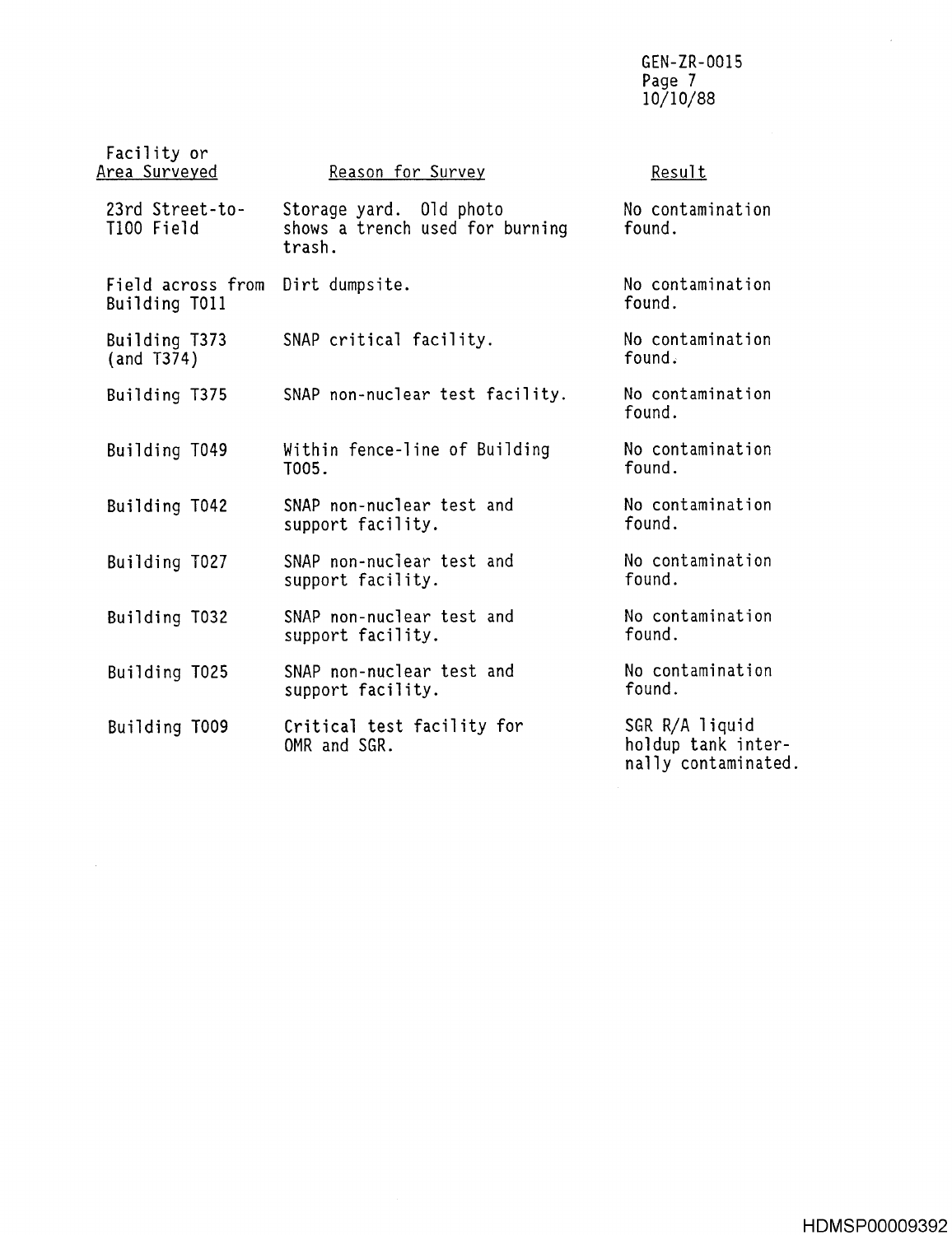GEN-ZR-0015 Page *I* 10/10/88

| Facility or<br><u>Area Surveyed</u> | Reason for Survey                                                    | Result                                                      |
|-------------------------------------|----------------------------------------------------------------------|-------------------------------------------------------------|
| 23rd Street-to-<br>T100 Field       | Storage yard. Old photo<br>shows a trench used for burning<br>trash. | No contamination<br>found.                                  |
| Field across from<br>Building T011  | Dirt dumpsite.                                                       | No contamination<br>found.                                  |
| Building T373<br>(and 7374)         | SNAP critical facility.                                              | No contamination<br>found.                                  |
| Building T375                       | SNAP non-nuclear test facility.                                      | No contamination<br>found.                                  |
| Building T049                       | Within fence-line of Building<br>T005.                               | No contamination<br>found.                                  |
| Building T042                       | SNAP non-nuclear test and<br>support facility.                       | No contamination<br>found.                                  |
| Building T027                       | SNAP non-nuclear test and<br>support facility.                       | No contamination<br>found.                                  |
| Building T032                       | SNAP non-nuclear test and<br>support facility.                       | No contamination<br>found.                                  |
| Building T025                       | SNAP non-nuclear test and<br>support facility.                       | No contamination<br>found.                                  |
| Building T009                       | Critical test facility for<br>OMR and SGR.                           | SGR R/A liquid<br>holdup tank inter-<br>nally contaminated. |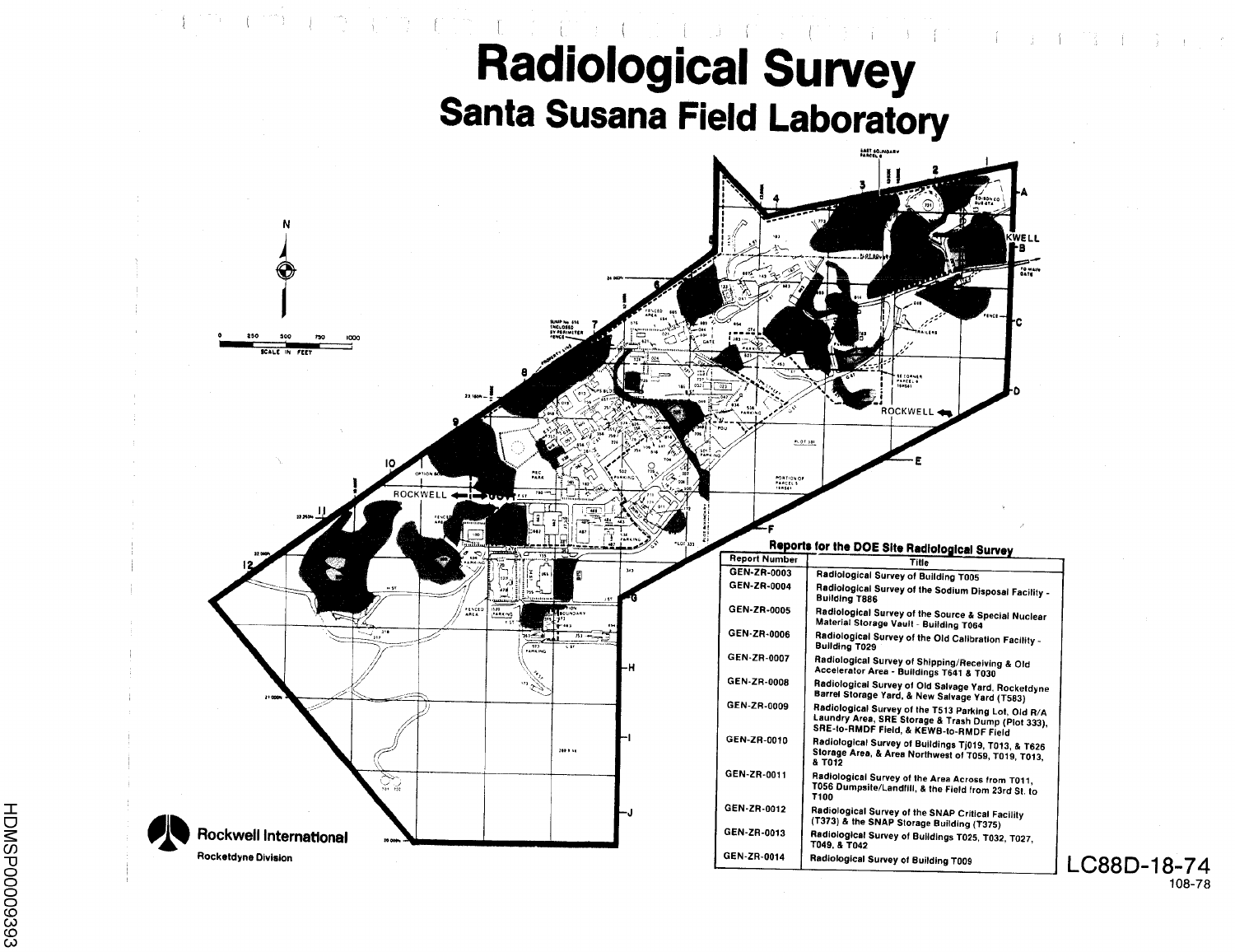

HDMSP00009393

108-78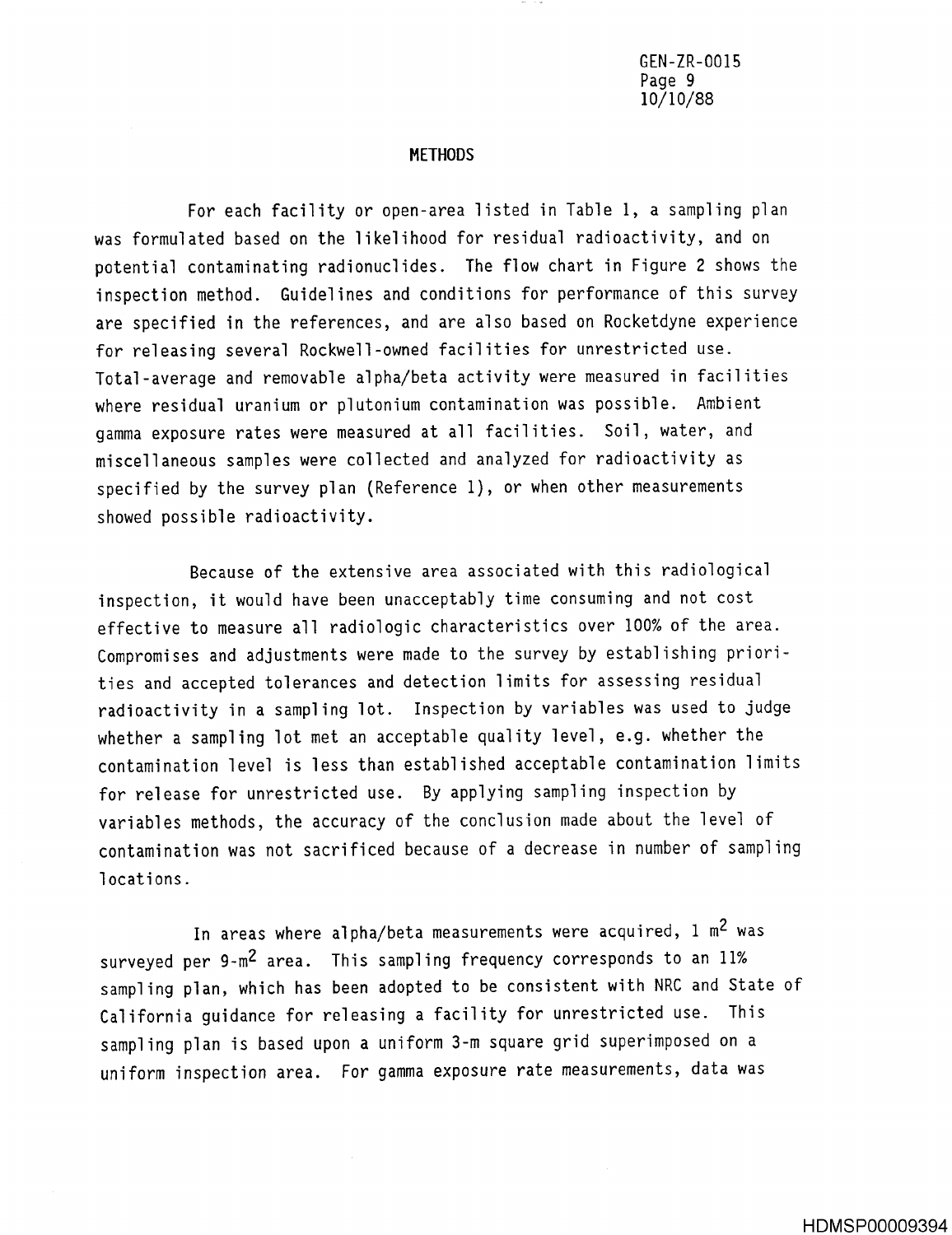GEN-ZR-0015 Page 9 10/10/88

#### **METHODS**

For each facility or open-area listed in Table 1, a sampling plan was formulated based on the likelihood for residual radioactivity, and on potential contaminating radionuclides. The flow chart in Figure 2 shows the inspection method. Guidelines and conditions for performance of this survey are specified in the references, and are also based on Rocketdyne experience for releasing several Rockwell-owned facilities for unrestricted use . Total-average and removable alpha/beta activity were measured in facilities where residual uranium or plutonium contamination was possible. Ambient gamma exposure rates were measured at all facilities. Soil, water, and miscellaneous samples were collected and analyzed for radioactivity as specified by the survey plan (Reference 1), or when other measurements showed possible radioactivity.

Because of the extensive area associated with this radiological inspection, it would have been unacceptably time consuming and not cost effective to measure all radiologic characteristics over 100% of the area . Compromises and adjustments were made to the survey by establishing priorities and accepted tolerances and detection limits for assessing residual radioactivity in a sampling lot. Inspection by variables was used to judge whether a sampling lot met an acceptable quality level, e.g. whether the contamination level is less than established acceptable contamination limits for release for unrestricted use. By applying sampling inspection by variables methods, the accuracy of the conclusion made about the level of contamination was not sacrificed because of a decrease in number of sampling locations .

In areas where alpha/beta measurements were acquired,  $1 \text{ m}^2$  was surveyed per 9-m<sup>2</sup> area. This sampling frequency corresponds to an 11% sampling plan, which has been adopted to be consistent with NRC and State of California guidance for releasing a facility for unrestricted use. This sampling plan is based upon a uniform 3-m square grid superimposed on a uniform inspection area. For gamma exposure rate measurements, data was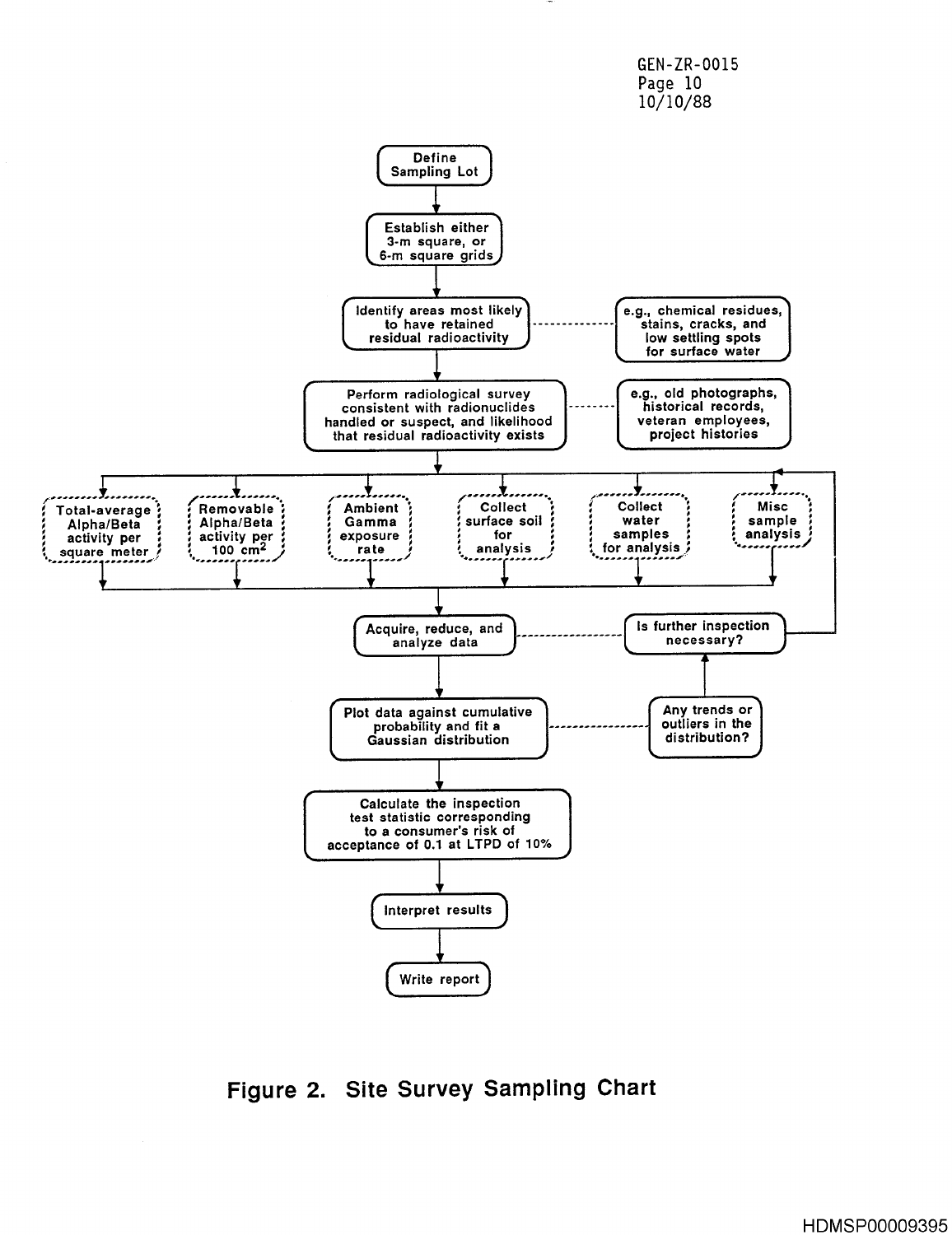

**Figure 2. Site Survey Sampling Chart**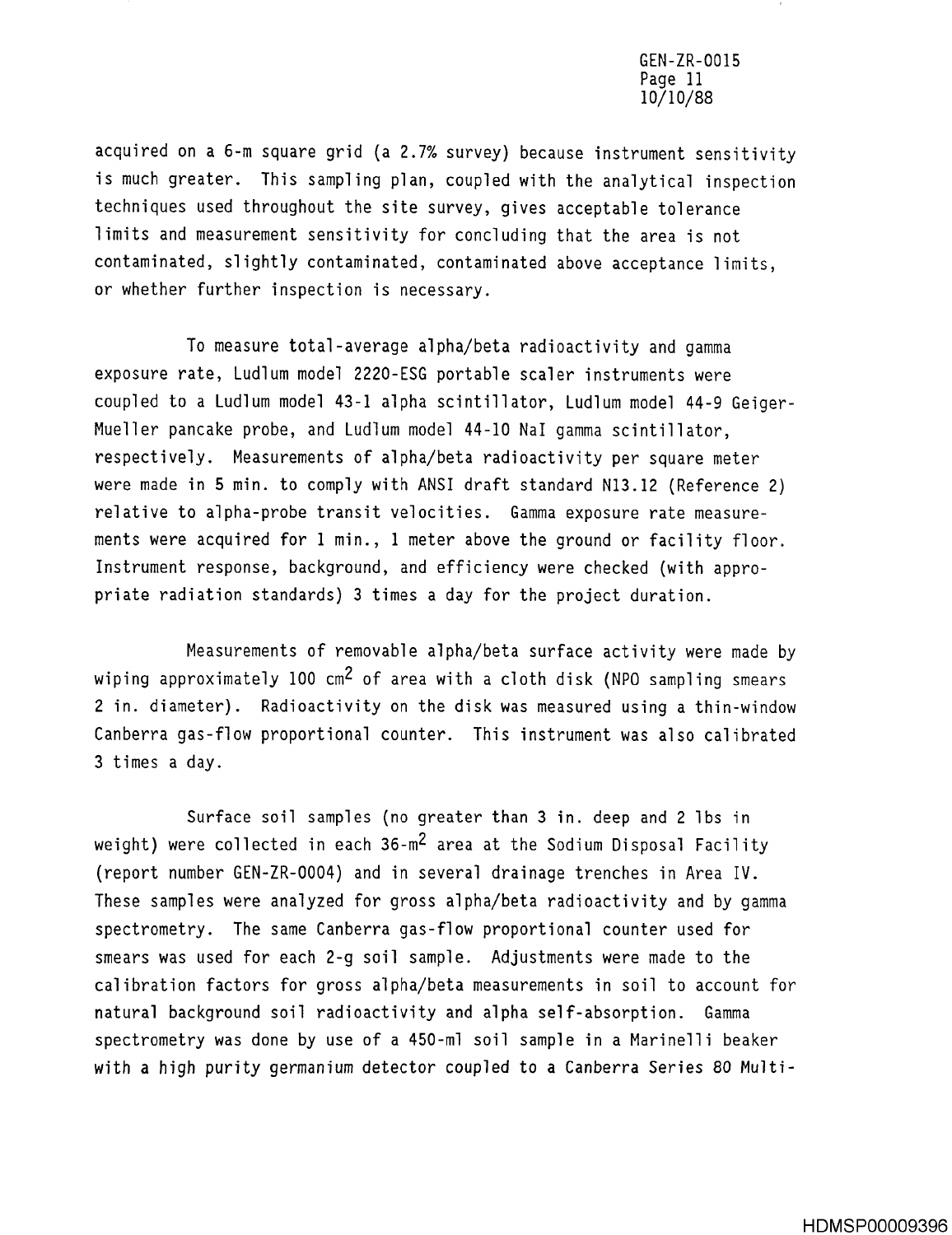acquired on a 6-m square grid (a 2 .7% survey) because instrument sensitivity is much greater. This sampling plan, coupled with the analytical inspection techniques used throughout the site survey, gives acceptable tolerance limits and measurement sensitivity for concluding that the area is not contaminated, slightly contaminated, contaminated above acceptance limits, or whether further inspection is necessary .

To measure total-average alpha/beta radioactivity and gamma exposure rate, Ludlum model 2220-ESG portable scaler instruments were coupled to a Ludlum model 43-1 alpha scintillator, Ludlum model 44-9 Geiger-Mueller pancake probe, and Ludlum model 44-10 NaI gamma scintillator, respectively . Measurements of alpha/beta radioactivity per square meter were made in 5 min. to comply with ANSI draft standard N13.12 (Reference 2) relative to alpha-probe transit velocities. Gamma exposure rate measurements were acquired for 1 min., 1 meter above the ground or facility floor. Instrument response, background, and efficiency were checked (with appropriate radiation standards) 3 times a day for the project duration .

Measurements of removable alpha/beta surface activity were made by wiping approximately 100 cm<sup>2</sup> of area with a cloth disk (NPO sampling smears 2 in. diameter). Radioactivity on the disk was measured using a thin-window Canberra gas-flow proportional counter. This instrument was also calibrated 3 times a day .

Surface soil samples (no greater than 3 in. deep and 2 lbs in weight) were collected in each 36-m<sup>2</sup> area at the Sodium Disposal Facility (report number GEN-ZR-0004) and in several drainage trenches in Area IV . These samples were analyzed for gross alpha/beta radioactivity and by gamma spectrometry. The same Canberra gas-flow proportional counter used for smears was used for each 2-q soil sample. Adjustments were made to the calibration factors for gross alpha/beta measurements in soil to account for natural background soil radioactivity and alpha self-absorption. Gamma spectrometry was done by use of a 450-m1 soil sample in a Marinelli beaker with a high purity germanium detector coupled to a Canberra Series 80 Multi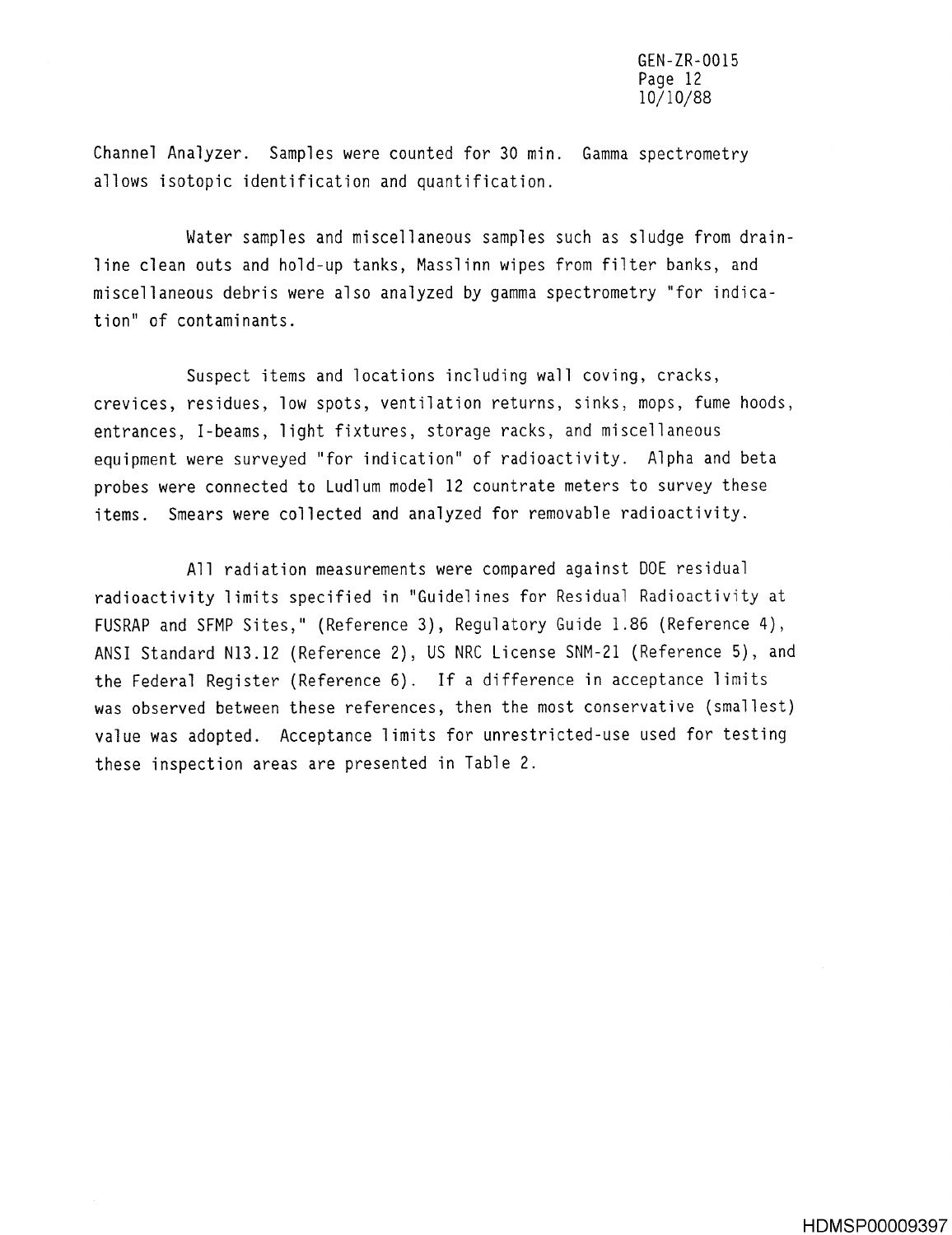Channel Analyzer. Samples were counted for 30 min. Gamma spectrometry allows isotopic identification and quantification .

Water samples and miscellaneous samples such as sludge from drainline clean outs and hold-up tanks, Masslinn wipes from filter banks, and miscellaneous debris were also analyzed by gamma spectrometry "for indication" of contaminants .

Suspect items and locations including wall coving, cracks, crevices, residues, low spots, ventilation returns, sinks, mops, fume hoods, entrances, I-beams, light fixtures, storage racks, and miscellaneous equipment were surveyed "for indication" of radioactivity. Alpha and beta probes were connected to Ludlum model 12 countrate meters to survey these items. Smears were collected and analyzed for removable radioactivity.

All radiation measurements were compared against DOE residual radioactivity limits specified in "Guidelines for Residual Radioactivity at FUSRAP and SFMP Sites," (Reference 3), Regulatory Guide 1 .86 (Reference 4), ANSI Standard N13 .12 (Reference 2), US NRC License SNM-21 (Reference 5), and the Federal Register (Reference 6) . If a difference in acceptance limits was observed between these references, then the most conservative (smallest) value was adopted. Acceptance limits for unrestricted-use used for testing these inspection areas are presented in Table 2.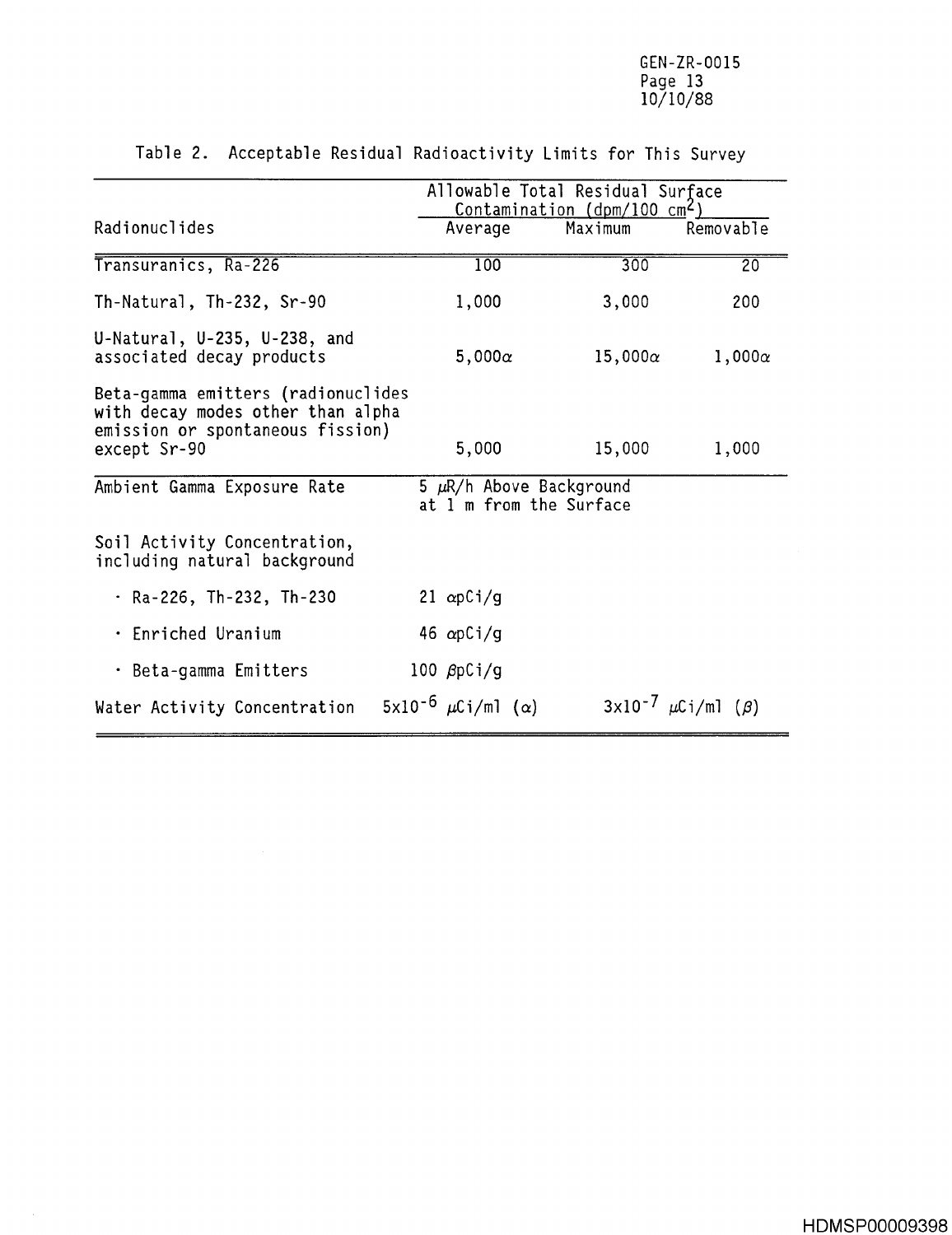|                                                                                                                             |  | Allowable Total Residual Surface<br>Contamination ( $dpm/100$ cm <sup>2</sup> ) |                                                         |                |                               |                 |
|-----------------------------------------------------------------------------------------------------------------------------|--|---------------------------------------------------------------------------------|---------------------------------------------------------|----------------|-------------------------------|-----------------|
| Radionuclides                                                                                                               |  | Average                                                                         |                                                         | Maximum        | Removable                     |                 |
| Transuranics, Ra-226                                                                                                        |  | 100                                                                             |                                                         | 300            |                               | $\overline{20}$ |
| Th-Natural, Th-232, Sr-90                                                                                                   |  | 1,000                                                                           |                                                         | 3,000          | 200                           |                 |
| U-Natural, $U-235$ , $U-238$ , and<br>associated decay products                                                             |  | $5,000\alpha$                                                                   |                                                         | $15,000\alpha$ |                               | $1,000\alpha$   |
| Beta-gamma emitters (radionuclides<br>with decay modes other than alpha<br>emission or spontaneous fission)<br>except Sr-90 |  | 5,000                                                                           |                                                         | 15,000         |                               | 1,000           |
| Ambient Gamma Exposure Rate                                                                                                 |  |                                                                                 | 5 $\mu$ R/h Above Background<br>at 1 m from the Surface |                |                               |                 |
| Soil Activity Concentration,<br>including natural background                                                                |  |                                                                                 |                                                         |                |                               |                 |
| · Ra-226, Th-232, Th-230                                                                                                    |  | 21 $\alpha pCi/g$                                                               |                                                         |                |                               |                 |
| • Enriched Uranium                                                                                                          |  | 46 $\alpha pCi/g$                                                               |                                                         |                |                               |                 |
| · Beta-gamma Emitters                                                                                                       |  | 100 $\beta$ pCi/g                                                               |                                                         |                |                               |                 |
| Water Activity Concentration                                                                                                |  | 5x10 <sup>-6</sup> $\mu$ Ci/ml ( $\alpha$ )                                     |                                                         |                | $3x10^{-7} \mu Ci/ml (\beta)$ |                 |

 $\bar{\gamma}$ 

**Table 2 . Acceptable Residual Radioactivity** Limits for This Survey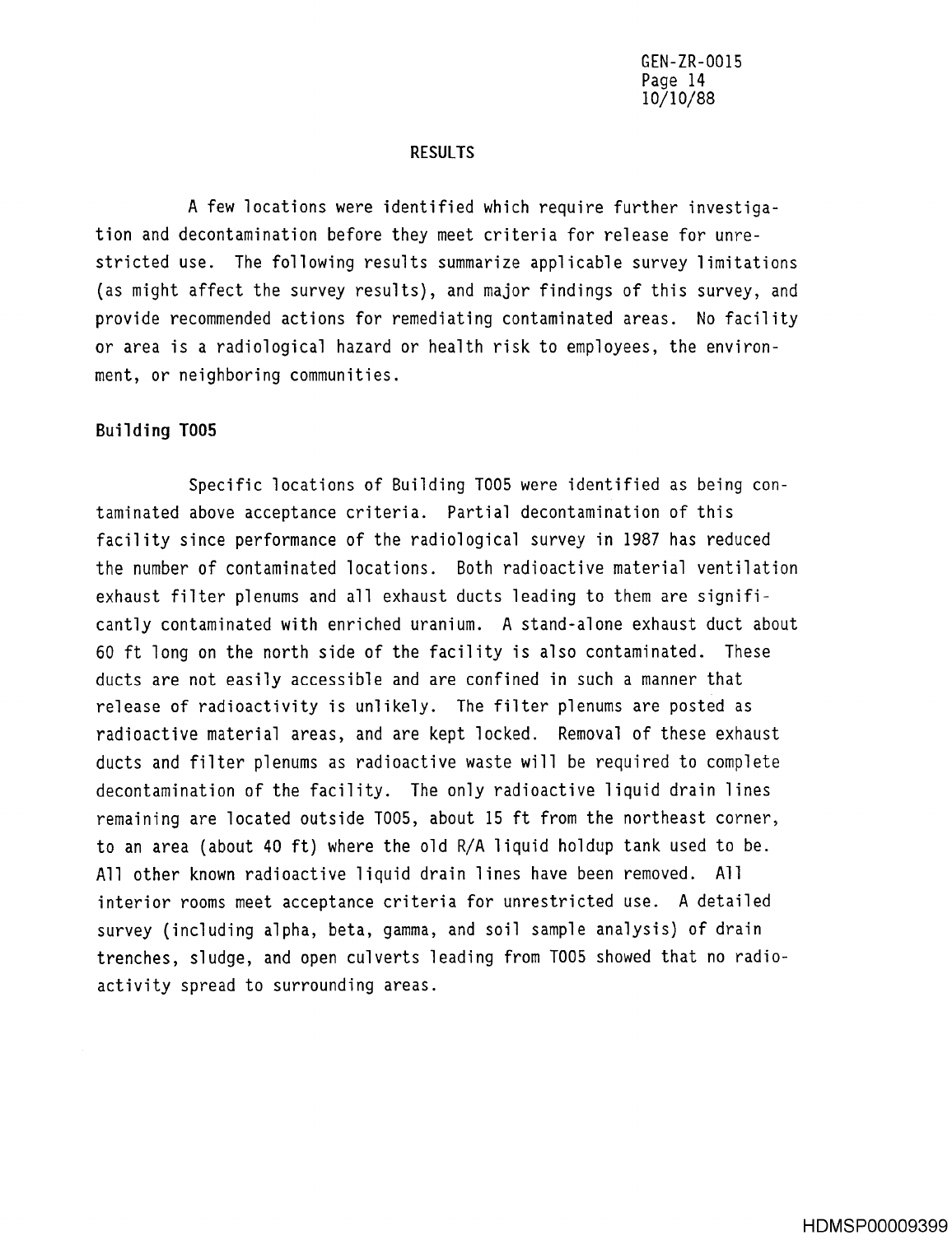#### RESULTS

A few locations were identified which require further investigation and decontamination before they meet criteria for release for unrestricted use. The following results summarize applicable survey limitations (as might affect the survey results), and major findings of this survey, and provide recommended actions for remediating contaminated areas . No facility or area is a radiological hazard or health risk to employees, the environment, or neighboring communities .

#### **Building 100 5**

Specific locations of Building T005 were identified as being contaminated above acceptance criteria . Partial decontamination of this facility since performance of the radiological survey in 1987 has reduced the number of contaminated locations. Both radioactive material ventilation exhaust filter plenums and all exhaust ducts leading to them are significantly contaminated with enriched uranium. A stand-alone exhaust duct about 60 ft long on the north side of the facility is also contaminated. These ducts are not easily accessible and are confined in such a manner that release of radioactivity is unlikely. The filter plenums are posted as radioactive material areas, and are kept locked. Removal of these exhaust ducts and filter plenums as radioactive waste will be required to complete decontamination of the facility. The only radioactive liquid drain lines remaining are located outside T005, about 15 ft from the northeast corner, to an area (about 40 ft) where the old R/A liquid holdup tank used to be . All other known radioactive liquid drain lines have been removed. All interior rooms meet acceptance criteria for unrestricted use. A detailed survey (including alpha, beta, gamma, and soil sample analysis) of drain trenches, sludge, and open culverts leading from T005 showed that no radioactivity spread to surrounding areas .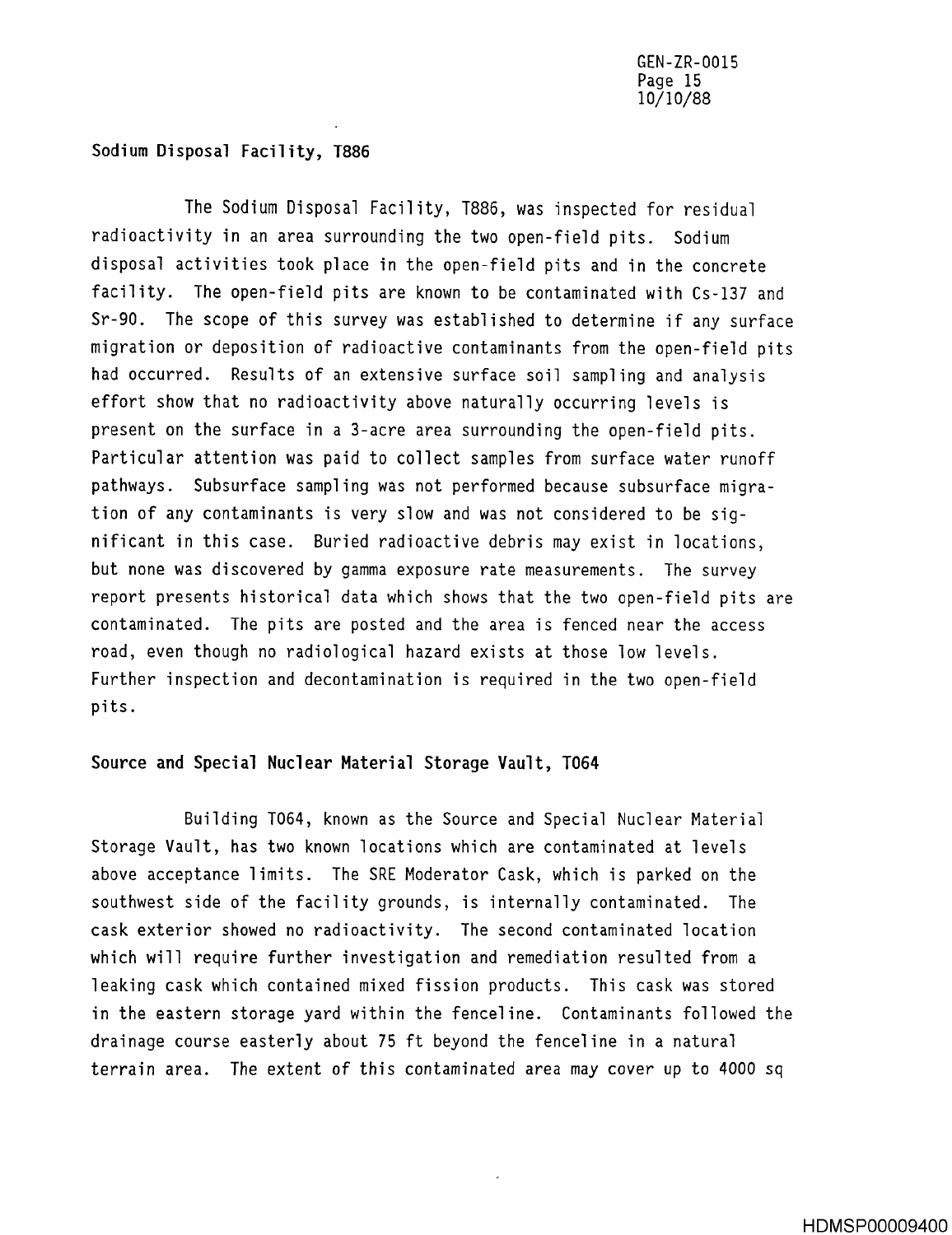#### **Sodium Disposal** Facility, 1886

The Sodium Disposal Facility, T886, was inspected for residual radioactivity in an area surrounding the two open-field pits. Sodium disposal activities took place in the open-field pits and in the concrete facility. The open-field pits are known to be contaminated with Cs-137 and Sr-90. The scope of this survey was established to determine if any surface migration or deposition of radioactive contaminants from the open-field pits had occurred. Results of an extensive surface soil sampling and analysis effort show that no radioactivity above naturally occurring levels is present on the surface in a 3-acre area surrounding the open-field pits . Particular attention was paid to collect samples from surface water runoff pathways . Subsurface sampling was not performed because subsurface migration of any contaminants is very slow and was not considered to be significant in this case. Buried radioactive debris may exist in locations, but none was discovered by gamma exposure rate measurements. The survey report presents historical data which shows that the two open-field pits are contaminated. The pits are posted and the area is fenced near the access road, even though no radiological hazard exists at those low levels . Further inspection and decontamination is required in the two open-field pits .

#### Source and Special Nuclear Material Storage Vault, T064

Building T064, known as the Source and Special Nuclear Material Storage Vault, has two known locations which are contaminated at levels above acceptance limits. The SRE Moderator Cask, which is parked on the southwest side of the facility grounds, is internally contaminated. The cask exterior showed no radioactivity . The second contaminated location which will require further investigation and remediation resulted from a leaking cask which contained mixed fission products . This cask was stored in the eastern storage yard within the fenceline. Contaminants followed the drainage course easterly about 75 ft beyond the fenceline in a natural terrain area. The extent of this contaminated area may cover up to 4000 sq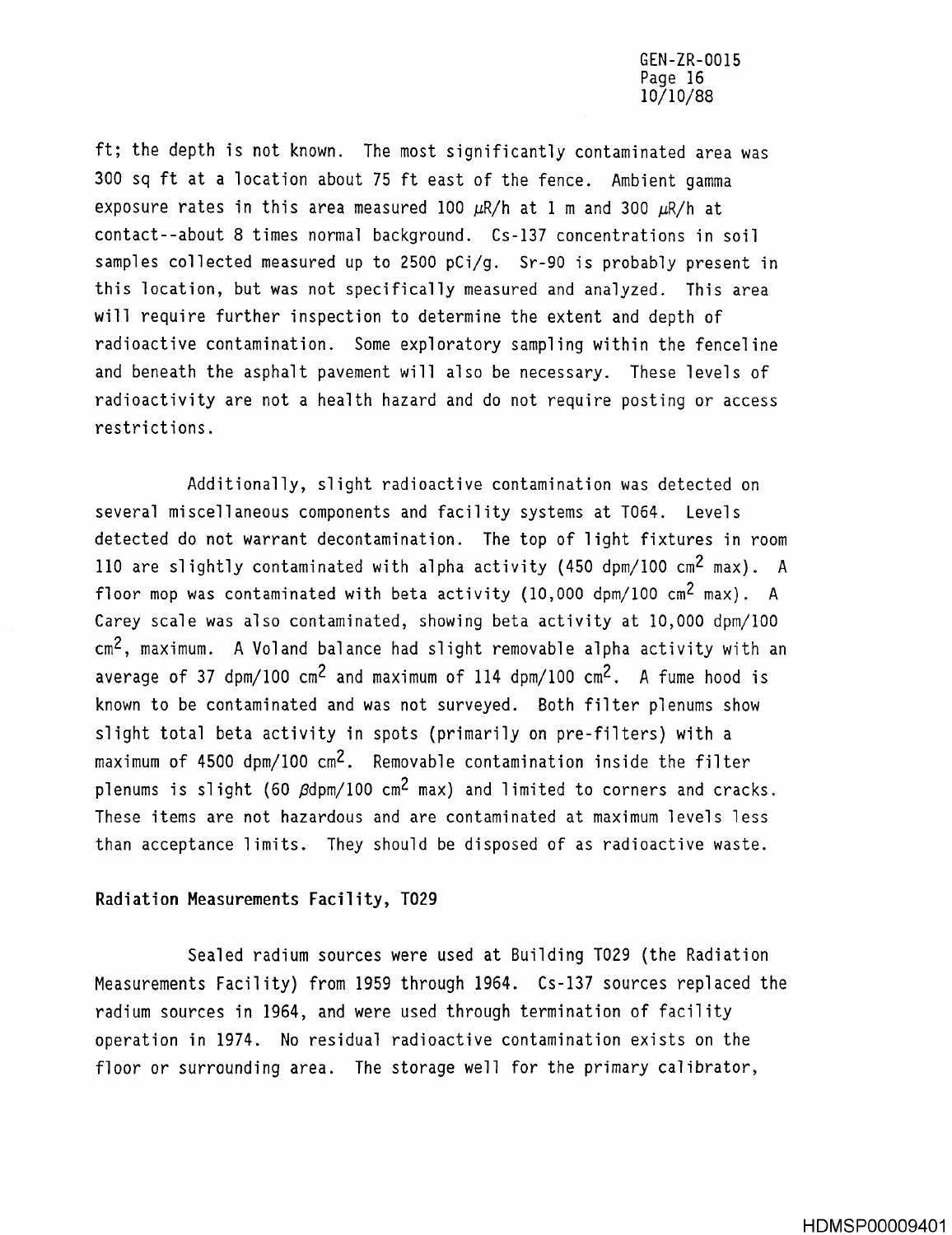ft; the depth is not known. The most significantly contaminated area was 300 sq ft at a location about 75 ft east of the fence . Ambient gamma exposure rates in this area measured 100  $\mu$ R/h at 1 m and 300  $\mu$ R/h at contact--about 8 times normal background . Cs-137 concentrations in soil samples collected measured up to 2500 pCi/g. Sr-90 is probably present in this location, but was not specifically measured and analyzed. This area will require further inspection to determine the extent and depth of radioactive contamination. Some exploratory sampling within the fenceline and beneath the asphalt pavement will also be necessary. These levels of radioactivity are not a health hazard and do not require posting or access restrictions .

Additionally, slight radioactive contamination was detected on several miscellaneous components and facility systems at T064. Levels detected do not warrant decontamination. The top of light fixtures in room 110 are slightly contaminated with alpha activity (450 dpm/100  $\text{cm}^2$  max). A floor mop was contaminated with beta activity (10,000 dpm/100  $cm^2$  max). A Carey scale was also contaminated, showing beta activity at 10,000 dpm/100  $cm<sup>2</sup>$ , maximum. A Voland balance had slight removable alpha activity with an average of 37 dpm/100  $cm^2$  and maximum of 114 dpm/100  $cm^2$ . A fume hood is known to be contaminated and was not surveyed. Both filter plenums show slight total beta activity in spots (primarily on pre-filters) with a maximum of  $4500 \text{ dpm}/100 \text{ cm}^2$ . Removable contamination inside the filter plenums is slight (60  $\beta$ dpm/100 cm<sup>2</sup> max) and limited to corners and cracks. These items are not hazardous and are contaminated at maximum levels less than acceptance limits. They should be disposed of as radioactive waste.

#### **Radiation Measurements** Facility, 1029

Sealed radium sources were used at Building T029 (the Radiation Measurements Facility) from 1959 through 1964. Cs-137 sources replaced the radium sources in 1964, and were used through termination of facility operation in 1974. No residual radioactive contamination exists on the floor or surrounding area. The storage well for the primary calibrator,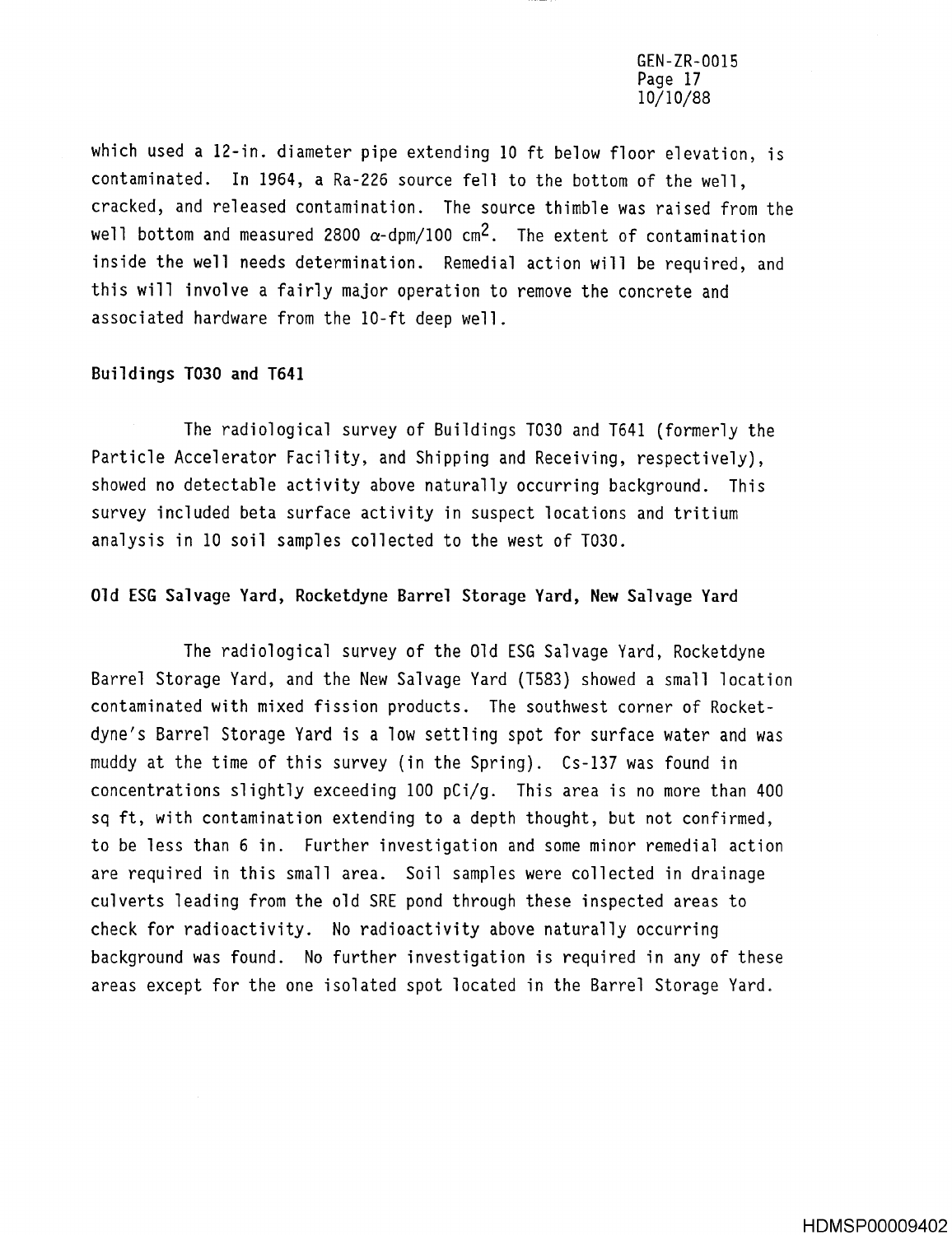GEN-ZR-0015 Page 17 10/10/88

which used a 12-in, diameter pipe extending 10 ft below floor elevation, is contaminated. In 1964, a Ra-226 source fell to the bottom of the well, cracked, and released contamination. The source thimble was raised from the well bottom and measured 2800  $\alpha$ -dpm/100 cm<sup>2</sup>. The extent of contamination inside the well needs determination. Remedial action will be required, and this will involve a fairly major operation to remove the concrete and associated hardware from the 10-ft deep well .

#### **Buildings T030 and T641**

The radiological survey of Buildings T030 and T641 (formerly the Particle Accelerator Facility, and Shipping and Receiving, respectively), showed no detectable activity above naturally occurring background. This survey included beta surface activity in suspect locations and tritium analysis in 10 soil samples collected to the west of T030 .

#### Old ESG Salvage Yard, Rocketdyne Barrel Storage Yard, New Salvage Yard

The radiological survey of the Old ESG Salvage Yard, Rocketdyne Barrel Storage Yard, and the New Salvage Yard (T583) showed a small location contaminated with mixed fission products. The southwest corner of Rocketdyne's Barrel Storage Yard is a low settling spot for surface water and was muddy at the time of this survey (in the Spring) . Cs-137 was found in concentrations slightly exceeding 100 pCi/g. This area is no more than 400 sq ft, with contamination extending to a depth thought, but not confirmed, to be less than 6 in. Further investigation and some minor remedial action are required in this small area. Soil samples were collected in drainage culverts leading from the old SRE pond through these inspected areas to check for radioactivity. No radioactivity above naturally occurring background was found. No further investigation is required in any of these areas except for the one isolated spot located in the Barrel Storage Yard .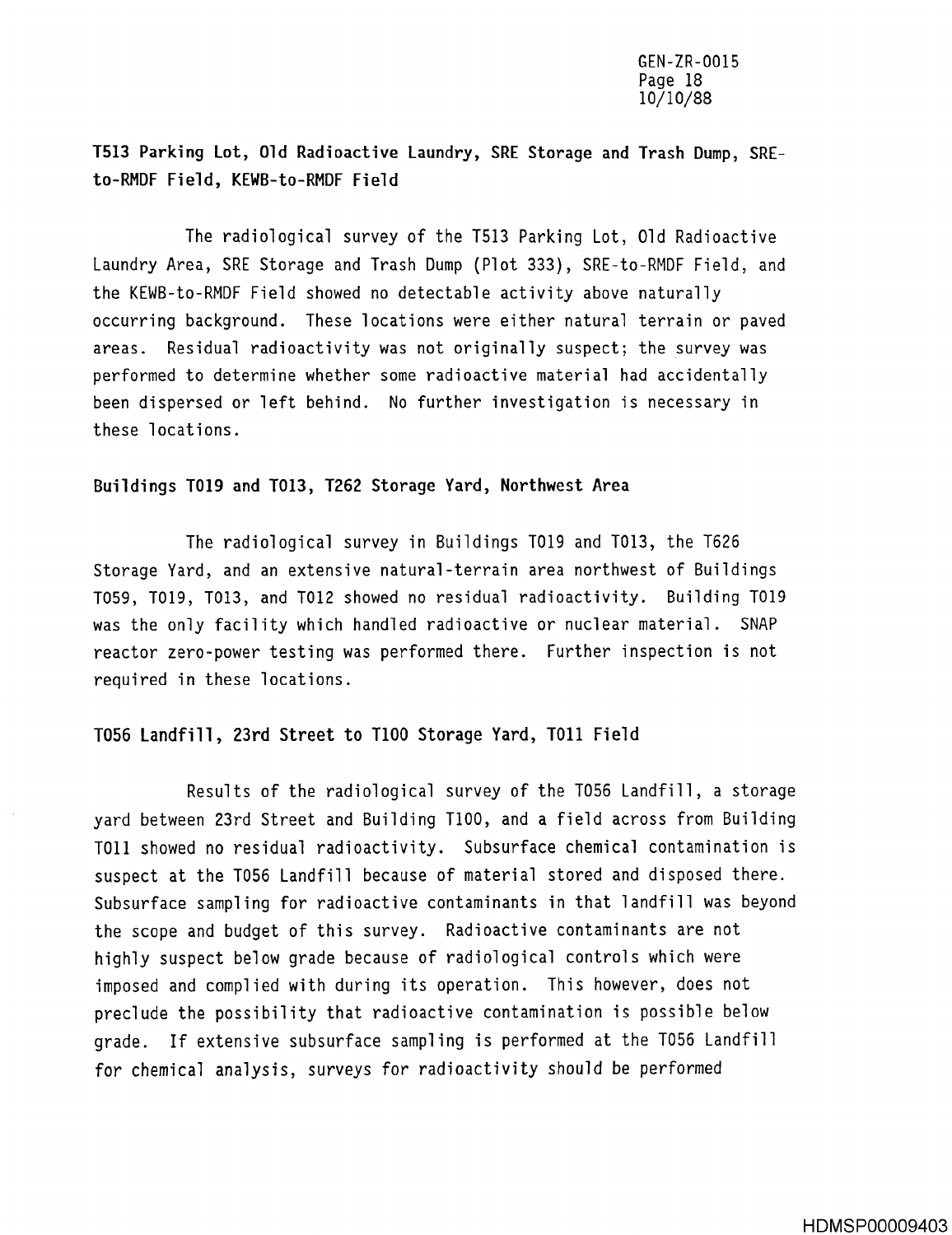1513 Parking Lot, Old Radioactive Laundry, SRE Storage and Trash Dump, SREto-RMDF Field, KEWB-to-RMDF Field

The radiological survey of the T513 Parking Lot, Old Radioactive Laundry Area, SRE Storage and Trash **Dump** (Plot 333), SRE-to-RMDF Field, and the KEWB-to-RMDF Field showed no detectable activity above naturall y occurring background. These locations were either natural terrain or paved areas. Residual radioactivity was not originally suspect; the survey was performed to determine whether some radioactive material had accidentally been dispersed or left behind. No further investigation is necessary in these locations .

#### **Buildings 1019 and 1013** , **1262 Storage Yard** , **Northwest Are <sup>a</sup>**

The radiological survey in Buildings T019 and 1013, the T626 Storage Yard, and an extensive natural-terrain area northwest of Buildings T059, T019, T013, and T012 showed no residual radioactivity. Building T019 was the only facility which handled radioactive or nuclear material. SNAP reactor zero-power testing was performed there. Further inspection is not required in these locations .

#### 1056 Landfill, 23rd Street to 1100 Storage Yard, TO11 Fiel d

Results of the radiological survey of the T056 Landfill, a storage yard between 23rd Street and Building 1100, and a field across from Building TO11 showed no residual radioactivity. Subsurface chemical contamination is suspect at the T056 Landfill because of material stored and disposed there . Subsurface sampling for radioactive contaminants in that landfill was beyond the scope and budget of this survey. Radioactive contaminants are not highly suspect below grade because of radiological controls which were imposed and complied with during its operation. This however, does not preclude the possibility that radioactive contamination is possible below grade . If extensive subsurface **sampling is** performed at the T056 Landfill for chemical analysis, surveys for radioactivity should be performed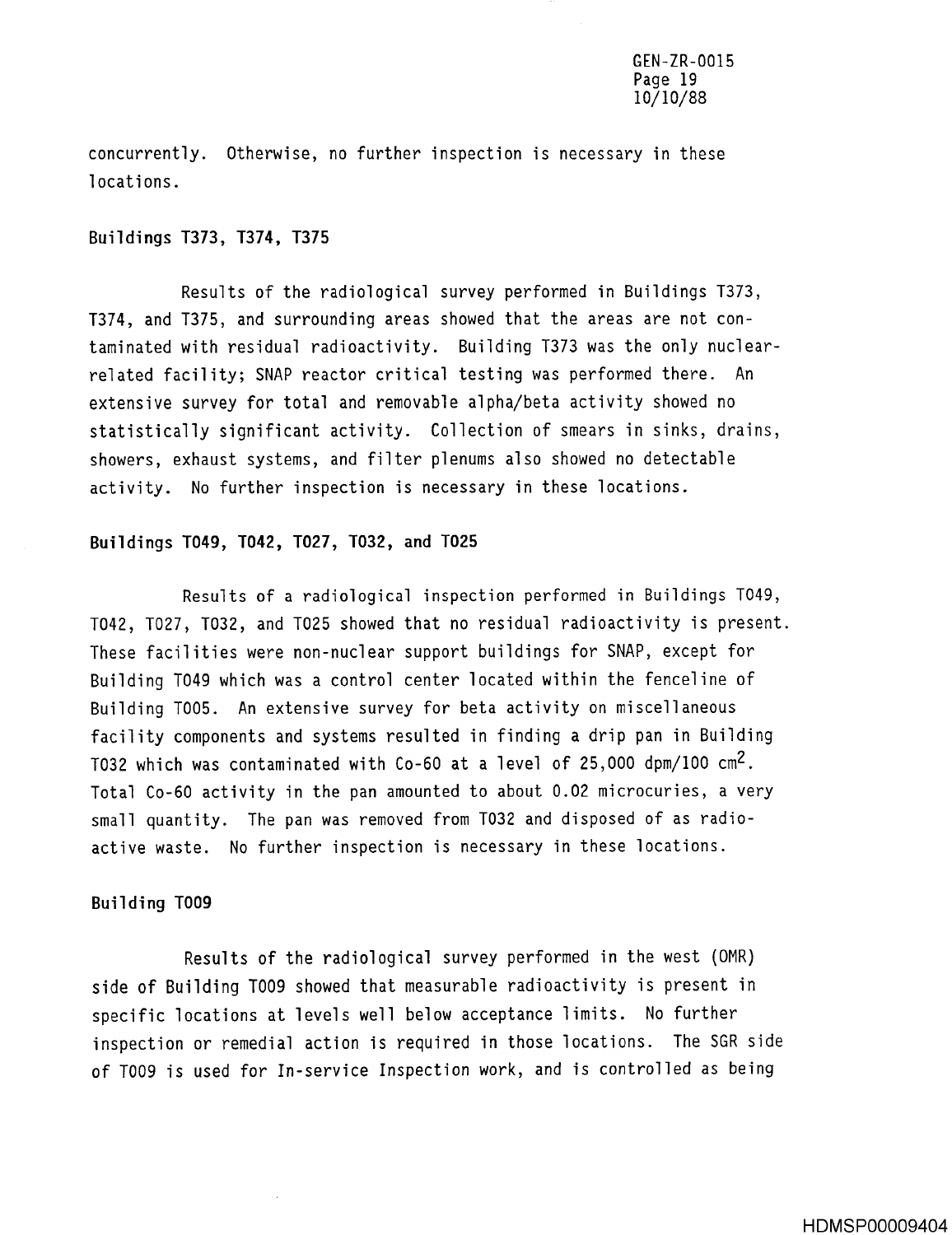concurrently. Otherwise, no further inspection is necessary in these locations .

#### **Buildings** T373, T374, 137 5

Results of the radiological survey performed in Buildings T373, T374, and T375, and surrounding areas showed that the areas are not contaminated with residual radioactivity . Building T373 was the only nuclearrelated facility; SNAP reactor critical testing was performed there. An extensive survey for total and removable alpha/beta activity showed no statistically significant activity. Collection of smears in sinks, drains, showers, exhaust systems, and filter plenums also showed no detectable activity. No further inspection is necessary in these locations.

#### Buildings T049, T042, T027, T032, and T025

Results of a radiological inspection performed in Buildings T049, T042, T027, T032, and T025 showed that no residual radioactivity is present . These facilities were non-nuclear support buildings for SNAP, except for Building T049 which was a control center located within the fenceline of Building T005. An extensive survey for beta activity on miscellaneous facility components and systems resulted in finding a drip pan in Building T032 which was contaminated with Co-60 at a level of 25,000 dpm/100 cm2 . Total Co-60 activity in the pan amounted to about 0 .02 microcuries, a very small quantity . The pan was removed from T032 and disposed of as radioactive waste. No further inspection is necessary in these locations.

#### **Building T00 9**

Results of the radiological survey performed in the west (OMR) side of Building T009 showed that measurable radioactivity is present in specific locations at levels well below acceptance limits. No further inspection or remedial action is required in those locations. The SGR side of T009 is used for In-service Inspection work, and is controlled as being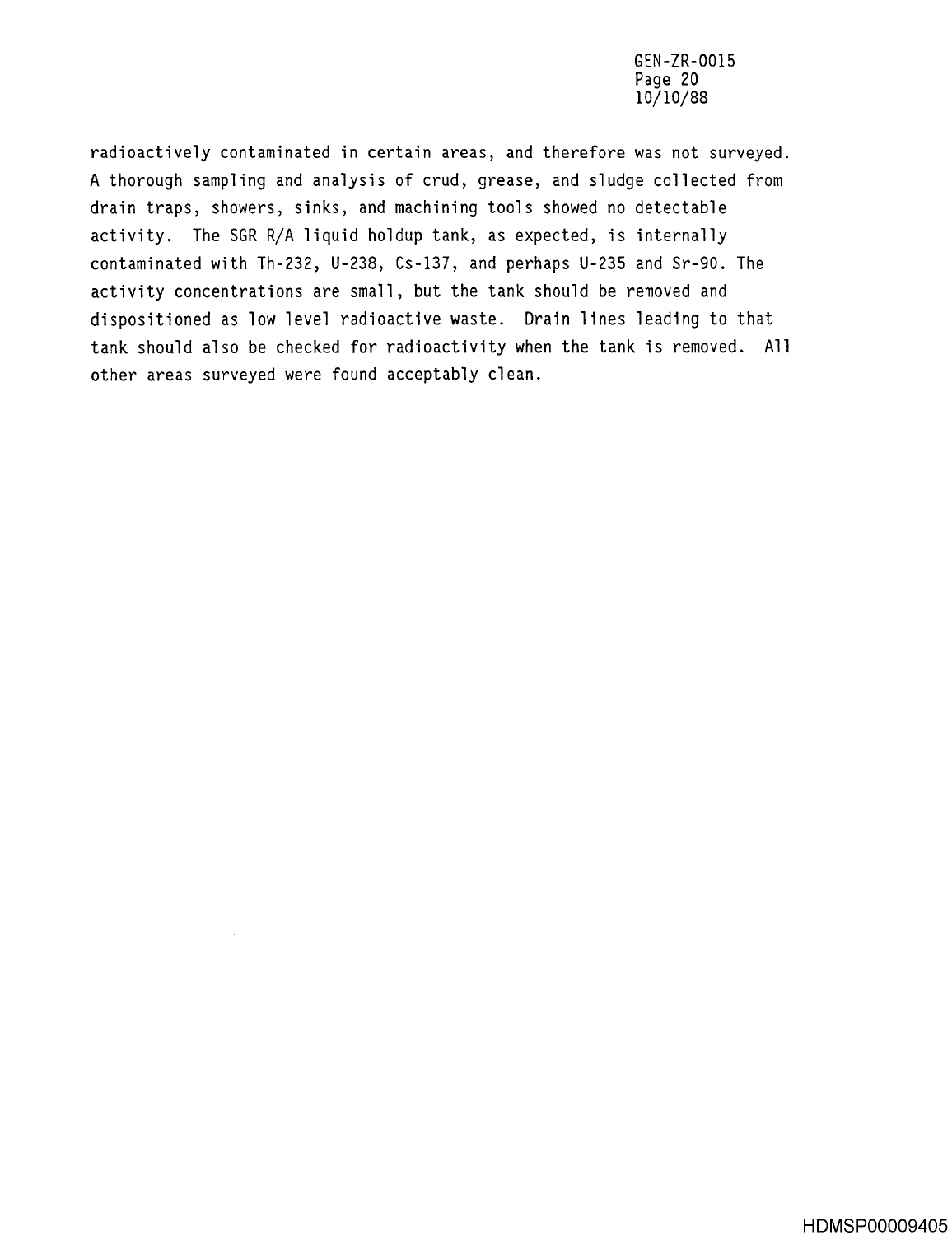GEN-ZR-0015 **Page 20** 10/10/88

radioactively contaminated in certain areas, and therefore was not surveyed . A thorough sampling and analysis of crud, grease, and sludge collected from drain traps, showers, sinks, and machining tools showed no detectable activity. The SGR R/A liquid holdup tank, as expected, is internally contaminated with Th-232, U-238, Cs-137, and perhaps U-235 and Sr-90 . The activity concentrations are small, but the tank should be removed and dispositioned as low level radioactive waste. Drain lines leading to that tank should also be checked for radioactivity when the tank is removed. All other areas surveyed were found acceptably clean .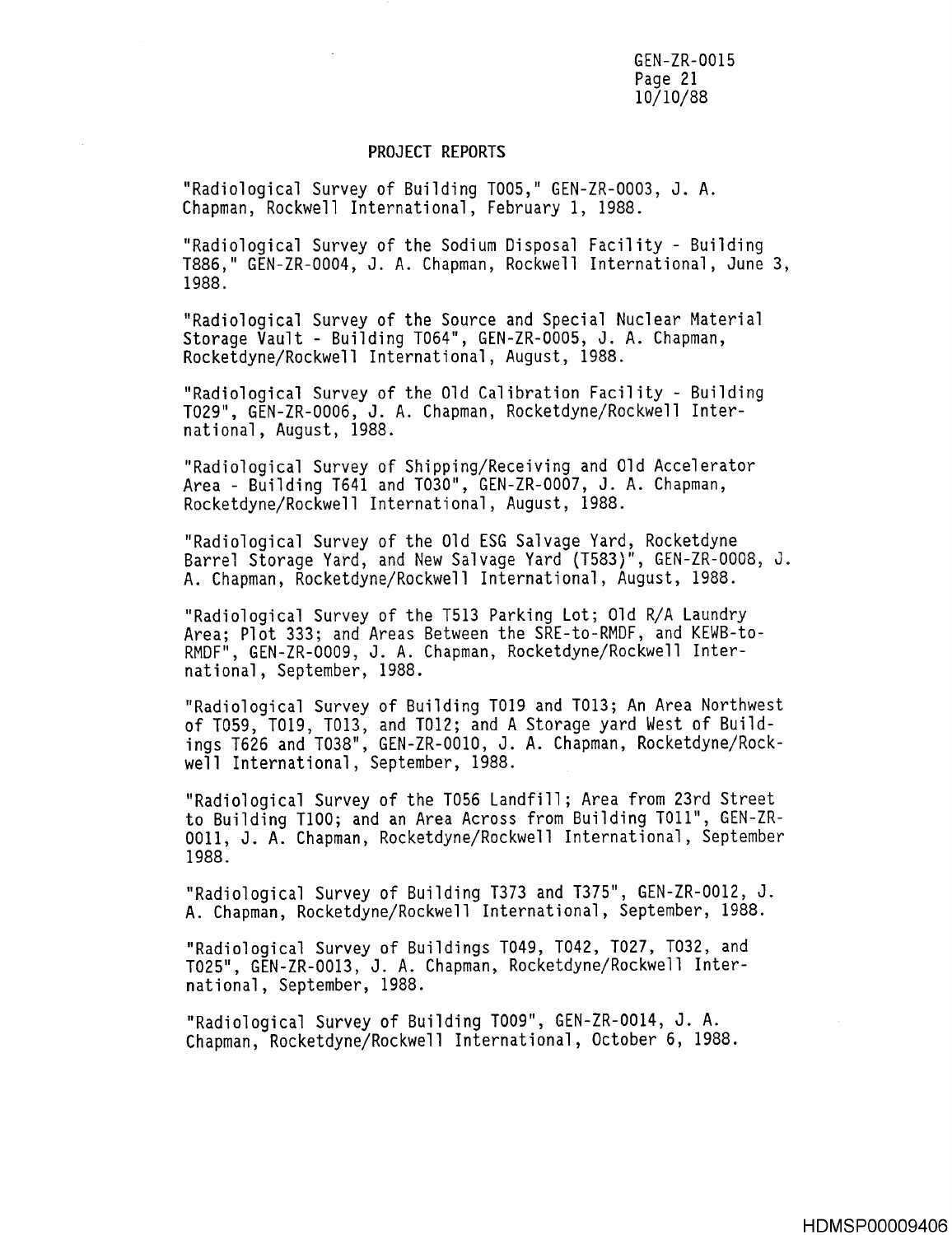GEN-ZR-0015 Page 21 10/10/88

#### PROJECT REPORTS

"Radiological Survey of Building T005," GEN-ZR-0003, J. A. Chapman, Rockwell International, February 1, 1988 .

"Radiological Survey of the Sodium Disposal Facility - Building T886," GEN-ZR-0004, J. A. Chapman, Rockwell International, June 3, 1988 .

"Radiological Survey of the Source and Special Nuclear Material Storage Vault - Building T064", GEN-ZR-0005, J. A. Chapman, Rocketdyne/Rockwell International, August, 1988 .

"Radiological Survey of the Old Calibration Facility - Building T029", GEN-ZR-0006, J. A. Chapman, Rocketdyne/Rockwell International, August, 1988 .

"Radiological Survey of Shipping/Receiving and Old Accelerator Area - Building T641 and T030", GEN-ZR-0007, J. A. Chapman, Rocketdyne/Rockwell International, August, 1988 .

"Radiological Survey of the Old ESG Salvage Yard, Rocketdyne Barrel Storage Yard, and New Salvage Yard (T583)", GEN-ZR-0008, J . A . Chapman, Rocketdyne/Rockwell International, August, 1988 .

"Radiological Survey of the T513 Parking Lot; Old R/A Laundry Area; Plot 333; and Areas Between the SRE-to-RMDF, and KEWB-to-RMDF", GEN-ZR-0009, J. A. Chapman, Rocketdyne/Rockwell International, September, 1988 .

"Radiological Survey of Building 1019 and T013 ; An Area Northwest of T059, T019, T013, and T012; and A Storage yard West of Buildings T626 and T038", GEN-ZR-0010, J. A. Chapman, Rocketdyne/Rockwell International, September, 1988 .

"Radiological Survey of the T056 Landfill; Area from 23rd Street to Building T100; and an Area Across from Building T011", GEN-ZR-0011, J. A. Chapman, Rocketdyne/Rockwell International, September 1988 .

"Radiological Survey of Building T373 and T375", GEN-ZR-0012, J. A. Chapman, Rocketdyne/Rockwell International, September, 1988.

"Radiological Survey of Buildings T049, 1042, T027, T032, and T025", GEN-ZR-0013, J. A. Chapman, Rocketdyne/Rockwell International, September, 1988 .

"Radiological Survey of Building T009", GEN-ZR-0014, J. A. Chapman, Rocketdyne/Rockwell International, October 6, 1988 .